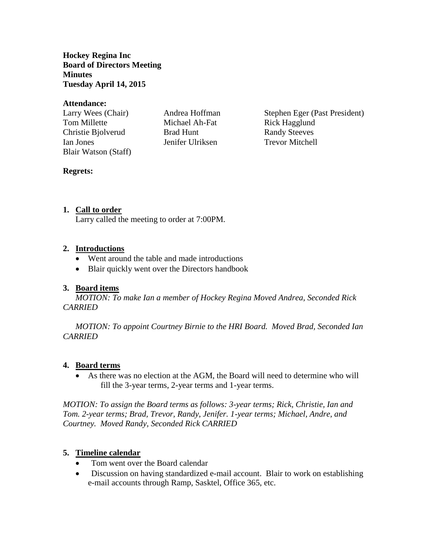**Hockey Regina Inc Board of Directors Meeting Minutes Tuesday April 14, 2015**

#### **Attendance:**

Tom Millette **Michael Ah-Fat** Rick Hagglund Christie Bjolverud Brad Hunt Randy Steeves Ian Jones Jenifer Ulriksen Trevor Mitchell Blair Watson (Staff)

Larry Wees (Chair) Andrea Hoffman Stephen Eger (Past President)

#### **Regrets:**

### **1. Call to order**

Larry called the meeting to order at 7:00PM.

#### **2. Introductions**

- Went around the table and made introductions
- Blair quickly went over the Directors handbook

### **3. Board items**

*MOTION: To make Ian a member of Hockey Regina Moved Andrea, Seconded Rick CARRIED*

*MOTION: To appoint Courtney Birnie to the HRI Board. Moved Brad, Seconded Ian CARRIED*

#### **4. Board terms**

 As there was no election at the AGM, the Board will need to determine who will fill the 3-year terms, 2-year terms and 1-year terms.

*MOTION: To assign the Board terms as follows: 3-year terms; Rick, Christie, Ian and Tom. 2-year terms; Brad, Trevor, Randy, Jenifer. 1-year terms; Michael, Andre, and Courtney. Moved Randy, Seconded Rick CARRIED*

### **5. Timeline calendar**

- Tom went over the Board calendar
- Discussion on having standardized e-mail account. Blair to work on establishing e-mail accounts through Ramp, Sasktel, Office 365, etc.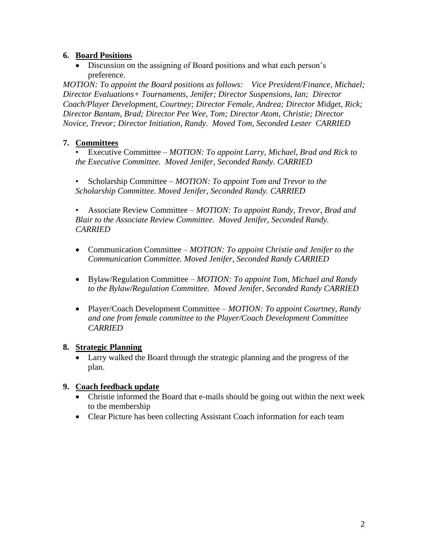## **6. Board Positions**

• Discussion on the assigning of Board positions and what each person's preference.

*MOTION: To appoint the Board positions as follows: Vice President/Finance, Michael; Director Evaluations+ Tournaments, Jenifer; Director Suspensions, Ian; Director Coach/Player Development, Courtney; Director Female, Andrea; Director Midget, Rick; Director Bantam, Brad; Director Pee Wee, Tom; Director Atom, Christie; Director Novice, Trevor; Director Initiation, Randy. Moved Tom, Seconded Lester CARRIED*

## **7. Committees**

• Executive Committee – *MOTION: To appoint Larry, Michael, Brad and Rick to the Executive Committee. Moved Jenifer, Seconded Randy. CARRIED*

• Scholarship Committee – *MOTION: To appoint Tom and Trevor to the Scholarship Committee. Moved Jenifer, Seconded Randy. CARRIED* 

• Associate Review Committee – *MOTION: To appoint Randy, Trevor, Brad and Blair to the Associate Review Committee. Moved Jenifer, Seconded Randy. CARRIED*

- Communication Committee *MOTION: To appoint Christie and Jenifer to the Communication Committee. Moved Jenifer, Seconded Randy CARRIED*
- Bylaw/Regulation Committee *MOTION: To appoint Tom, Michael and Randy to the Bylaw/Regulation Committee. Moved Jenifer, Seconded Randy CARRIED*
- Player/Coach Development Committee *MOTION: To appoint Courtney, Randy and one from female committee to the Player/Coach Development Committee CARRIED*

### **8. Strategic Planning**

 Larry walked the Board through the strategic planning and the progress of the plan.

# **9. Coach feedback update**

- Christie informed the Board that e-mails should be going out within the next week to the membership
- Clear Picture has been collecting Assistant Coach information for each team